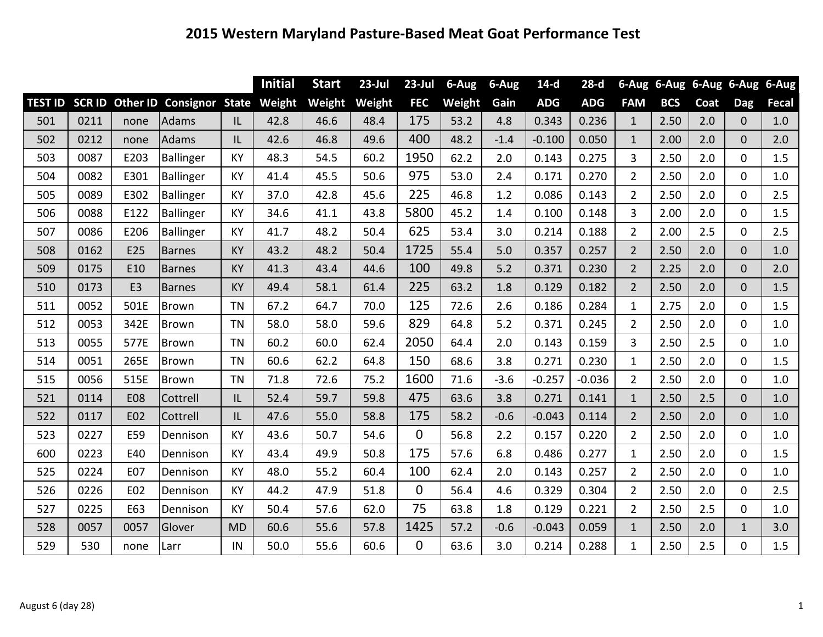|                |      |                |                                        |           | <b>Initial</b> | <b>Start</b> | $23$ -Jul | $23$ -Jul      | 6-Aug  | 6-Aug  | $14-d$     | $28-d$     |                | 6-Aug 6-Aug 6-Aug 6-Aug 6-Aug |      |                |              |
|----------------|------|----------------|----------------------------------------|-----------|----------------|--------------|-----------|----------------|--------|--------|------------|------------|----------------|-------------------------------|------|----------------|--------------|
| <b>TEST ID</b> |      |                | <b>SCR ID Other ID Consignor State</b> |           | Weight         | Weight       | Weight    | <b>FEC</b>     | Weight | Gain   | <b>ADG</b> | <b>ADG</b> | <b>FAM</b>     | <b>BCS</b>                    | Coat | <b>Dag</b>     | <b>Fecal</b> |
| 501            | 0211 | none           | Adams                                  | IL.       | 42.8           | 46.6         | 48.4      | 175            | 53.2   | 4.8    | 0.343      | 0.236      | $\mathbf{1}$   | 2.50                          | 2.0  | $\Omega$       | 1.0          |
| 502            | 0212 | none           | Adams                                  | IL        | 42.6           | 46.8         | 49.6      | 400            | 48.2   | $-1.4$ | $-0.100$   | 0.050      | $\mathbf{1}$   | 2.00                          | 2.0  | $\Omega$       | 2.0          |
| 503            | 0087 | E203           | <b>Ballinger</b>                       | KY        | 48.3           | 54.5         | 60.2      | 1950           | 62.2   | 2.0    | 0.143      | 0.275      | 3              | 2.50                          | 2.0  | $\Omega$       | 1.5          |
| 504            | 0082 | E301           | Ballinger                              | <b>KY</b> | 41.4           | 45.5         | 50.6      | 975            | 53.0   | 2.4    | 0.171      | 0.270      | $\overline{2}$ | 2.50                          | 2.0  | $\Omega$       | 1.0          |
| 505            | 0089 | E302           | Ballinger                              | KY        | 37.0           | 42.8         | 45.6      | 225            | 46.8   | 1.2    | 0.086      | 0.143      | $2^{\circ}$    | 2.50                          | 2.0  | $\Omega$       | 2.5          |
| 506            | 0088 | E122           | <b>Ballinger</b>                       | KY        | 34.6           | 41.1         | 43.8      | 5800           | 45.2   | 1.4    | 0.100      | 0.148      | $\overline{3}$ | 2.00                          | 2.0  | $\Omega$       | 1.5          |
| 507            | 0086 | E206           | Ballinger                              | <b>KY</b> | 41.7           | 48.2         | 50.4      | 625            | 53.4   | 3.0    | 0.214      | 0.188      | $2^{\circ}$    | 2.00                          | 2.5  | $\mathbf{0}$   | 2.5          |
| 508            | 0162 | E25            | <b>Barnes</b>                          | KY        | 43.2           | 48.2         | 50.4      | 1725           | 55.4   | 5.0    | 0.357      | 0.257      | 2 <sup>1</sup> | 2.50                          | 2.0  | $\mathbf{0}$   | 1.0          |
| 509            | 0175 | E10            | <b>Barnes</b>                          | KY        | 41.3           | 43.4         | 44.6      | 100            | 49.8   | 5.2    | 0.371      | 0.230      | $2^{\circ}$    | 2.25                          | 2.0  | $\Omega$       | 2.0          |
| 510            | 0173 | E <sub>3</sub> | <b>Barnes</b>                          | <b>KY</b> | 49.4           | 58.1         | 61.4      | 225            | 63.2   | 1.8    | 0.129      | 0.182      | $\overline{2}$ | 2.50                          | 2.0  | $\mathbf{0}$   | 1.5          |
| 511            | 0052 | 501E           | Brown                                  | <b>TN</b> | 67.2           | 64.7         | 70.0      | 125            | 72.6   | 2.6    | 0.186      | 0.284      | $\mathbf{1}$   | 2.75                          | 2.0  | $\Omega$       | 1.5          |
| 512            | 0053 | 342E           | Brown                                  | <b>TN</b> | 58.0           | 58.0         | 59.6      | 829            | 64.8   | 5.2    | 0.371      | 0.245      | $\overline{2}$ | 2.50                          | 2.0  | $\Omega$       | 1.0          |
| 513            | 0055 | 577E           | <b>Brown</b>                           | <b>TN</b> | 60.2           | 60.0         | 62.4      | 2050           | 64.4   | 2.0    | 0.143      | 0.159      | $\overline{3}$ | 2.50                          | 2.5  | $\Omega$       | 1.0          |
| 514            | 0051 | 265E           | <b>Brown</b>                           | <b>TN</b> | 60.6           | 62.2         | 64.8      | 150            | 68.6   | 3.8    | 0.271      | 0.230      | $\mathbf{1}$   | 2.50                          | 2.0  | $\Omega$       | 1.5          |
| 515            | 0056 | 515E           | Brown                                  | <b>TN</b> | 71.8           | 72.6         | 75.2      | 1600           | 71.6   | $-3.6$ | $-0.257$   | $-0.036$   | 2 <sup>1</sup> | 2.50                          | 2.0  | $\mathbf{0}$   | 1.0          |
| 521            | 0114 | <b>E08</b>     | Cottrell                               | IL        | 52.4           | 59.7         | 59.8      | 475            | 63.6   | 3.8    | 0.271      | 0.141      | $\mathbf{1}$   | 2.50                          | 2.5  | $\mathbf{0}$   | 1.0          |
| 522            | 0117 | <b>E02</b>     | Cottrell                               | IL        | 47.6           | 55.0         | 58.8      | 175            | 58.2   | $-0.6$ | $-0.043$   | 0.114      | $2^{\circ}$    | 2.50                          | 2.0  | $\mathbf{0}$   | 1.0          |
| 523            | 0227 | E59            | Dennison                               | KY        | 43.6           | 50.7         | 54.6      | $\overline{0}$ | 56.8   | 2.2    | 0.157      | 0.220      | $\overline{2}$ | 2.50                          | 2.0  | $\Omega$       | 1.0          |
| 600            | 0223 | E40            | Dennison                               | <b>KY</b> | 43.4           | 49.9         | 50.8      | 175            | 57.6   | 6.8    | 0.486      | 0.277      | $\mathbf{1}$   | 2.50                          | 2.0  | $\mathbf{0}$   | 1.5          |
| 525            | 0224 | <b>E07</b>     | Dennison                               | KY        | 48.0           | 55.2         | 60.4      | 100            | 62.4   | 2.0    | 0.143      | 0.257      | $2^{\circ}$    | 2.50                          | 2.0  | $\mathbf 0$    | 1.0          |
| 526            | 0226 | E02            | Dennison                               | <b>KY</b> | 44.2           | 47.9         | 51.8      | $\overline{0}$ | 56.4   | 4.6    | 0.329      | 0.304      | $2^{\circ}$    | 2.50                          | 2.0  | $\Omega$       | 2.5          |
| 527            | 0225 | E63            | Dennison                               | <b>KY</b> | 50.4           | 57.6         | 62.0      | 75             | 63.8   | 1.8    | 0.129      | 0.221      | $\overline{2}$ | 2.50                          | 2.5  | $\Omega$       | 1.0          |
| 528            | 0057 | 0057           | Glover                                 | <b>MD</b> | 60.6           | 55.6         | 57.8      | 1425           | 57.2   | $-0.6$ | $-0.043$   | 0.059      | $\mathbf{1}$   | 2.50                          | 2.0  | $\mathbf{1}$   | 3.0          |
| 529            | 530  | none           | Larr                                   | IN        | 50.0           | 55.6         | 60.6      | $\mathbf 0$    | 63.6   | 3.0    | 0.214      | 0.288      | $\mathbf{1}$   | 2.50                          | 2.5  | $\overline{0}$ | 1.5          |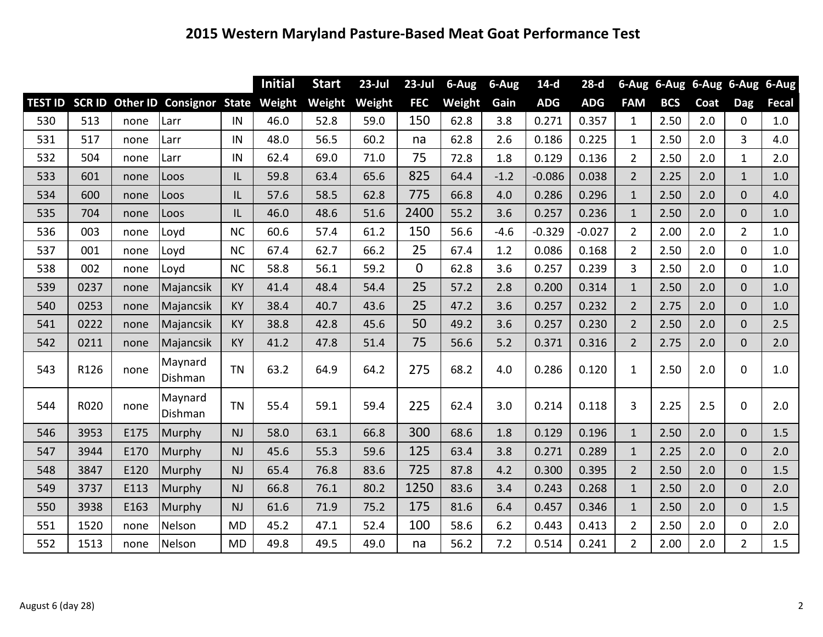|     |      |      |                                                |           | <b>Initial</b> | <b>Start</b> | $23$ -Jul | $23$ -Jul      | 6-Aug  | $6 - Aug$ | $14-d$     | $28-d$     |                | 6-Aug 6-Aug 6-Aug 6-Aug 6-Aug |      |                |              |
|-----|------|------|------------------------------------------------|-----------|----------------|--------------|-----------|----------------|--------|-----------|------------|------------|----------------|-------------------------------|------|----------------|--------------|
|     |      |      | <b>TEST ID SCR ID Other ID Consignor State</b> |           | Weight         | Weight       | Weight    | <b>FEC</b>     | Weight | Gain      | <b>ADG</b> | <b>ADG</b> | <b>FAM</b>     | <b>BCS</b>                    | Coat | <b>Dag</b>     | <b>Fecal</b> |
| 530 | 513  | none | Larr                                           | IN        | 46.0           | 52.8         | 59.0      | 150            | 62.8   | 3.8       | 0.271      | 0.357      | $\mathbf{1}$   | 2.50                          | 2.0  | 0              | 1.0          |
| 531 | 517  | none | Larr                                           | IN        | 48.0           | 56.5         | 60.2      | na             | 62.8   | 2.6       | 0.186      | 0.225      | $\mathbf{1}$   | 2.50                          | 2.0  | $\overline{3}$ | 4.0          |
| 532 | 504  | none | Larr                                           | IN        | 62.4           | 69.0         | 71.0      | 75             | 72.8   | 1.8       | 0.129      | 0.136      | $\overline{2}$ | 2.50                          | 2.0  | $\mathbf{1}$   | 2.0          |
| 533 | 601  | none | Loos                                           | IL        | 59.8           | 63.4         | 65.6      | 825            | 64.4   | $-1.2$    | $-0.086$   | 0.038      | $\overline{2}$ | 2.25                          | 2.0  | $\mathbf{1}$   | 1.0          |
| 534 | 600  | none | Loos                                           | IL.       | 57.6           | 58.5         | 62.8      | 775            | 66.8   | 4.0       | 0.286      | 0.296      | $\mathbf{1}$   | 2.50                          | 2.0  | $\overline{0}$ | 4.0          |
| 535 | 704  | none | Loos                                           | IL.       | 46.0           | 48.6         | 51.6      | 2400           | 55.2   | 3.6       | 0.257      | 0.236      | $\mathbf{1}$   | 2.50                          | 2.0  | $\overline{0}$ | 1.0          |
| 536 | 003  | none | Loyd                                           | <b>NC</b> | 60.6           | 57.4         | 61.2      | 150            | 56.6   | $-4.6$    | $-0.329$   | $-0.027$   | $\overline{2}$ | 2.00                          | 2.0  | $\overline{2}$ | 1.0          |
| 537 | 001  | none | Loyd                                           | <b>NC</b> | 67.4           | 62.7         | 66.2      | 25             | 67.4   | 1.2       | 0.086      | 0.168      | $\mathbf{2}$   | 2.50                          | 2.0  | 0              | 1.0          |
| 538 | 002  | none | Loyd                                           | <b>NC</b> | 58.8           | 56.1         | 59.2      | $\overline{0}$ | 62.8   | 3.6       | 0.257      | 0.239      | $\overline{3}$ | 2.50                          | 2.0  | 0              | 1.0          |
| 539 | 0237 | none | Majancsik                                      | <b>KY</b> | 41.4           | 48.4         | 54.4      | 25             | 57.2   | 2.8       | 0.200      | 0.314      | $\mathbf{1}$   | 2.50                          | 2.0  | $\mathbf 0$    | 1.0          |
| 540 | 0253 | none | Majancsik                                      | KY        | 38.4           | 40.7         | 43.6      | 25             | 47.2   | 3.6       | 0.257      | 0.232      | $\overline{2}$ | 2.75                          | 2.0  | $\overline{0}$ | 1.0          |
| 541 | 0222 | none | Majancsik                                      | <b>KY</b> | 38.8           | 42.8         | 45.6      | 50             | 49.2   | 3.6       | 0.257      | 0.230      | $\overline{2}$ | 2.50                          | 2.0  | $\overline{0}$ | 2.5          |
| 542 | 0211 | none | Majancsik                                      | KY        | 41.2           | 47.8         | 51.4      | 75             | 56.6   | 5.2       | 0.371      | 0.316      | 2 <sup>2</sup> | 2.75                          | 2.0  | $\overline{0}$ | 2.0          |
| 543 | R126 | none | Maynard<br>Dishman                             | <b>TN</b> | 63.2           | 64.9         | 64.2      | 275            | 68.2   | 4.0       | 0.286      | 0.120      | $\mathbf{1}$   | 2.50                          | 2.0  | $\mathbf{0}$   | 1.0          |
| 544 | R020 | none | Maynard<br>Dishman                             | <b>TN</b> | 55.4           | 59.1         | 59.4      | 225            | 62.4   | 3.0       | 0.214      | 0.118      | $\overline{3}$ | 2.25                          | 2.5  | $\mathbf{0}$   | 2.0          |
| 546 | 3953 | E175 | Murphy                                         | <b>NJ</b> | 58.0           | 63.1         | 66.8      | 300            | 68.6   | 1.8       | 0.129      | 0.196      | $\mathbf{1}$   | 2.50                          | 2.0  | $\overline{0}$ | 1.5          |
| 547 | 3944 | E170 | Murphy                                         | <b>NJ</b> | 45.6           | 55.3         | 59.6      | 125            | 63.4   | 3.8       | 0.271      | 0.289      | $\mathbf{1}$   | 2.25                          | 2.0  | $\overline{0}$ | 2.0          |
| 548 | 3847 | E120 | Murphy                                         | NJ        | 65.4           | 76.8         | 83.6      | 725            | 87.8   | 4.2       | 0.300      | 0.395      | 2 <sup>1</sup> | 2.50                          | 2.0  | $\Omega$       | 1.5          |
| 549 | 3737 | E113 | Murphy                                         | NJ        | 66.8           | 76.1         | 80.2      | 1250           | 83.6   | 3.4       | 0.243      | 0.268      | $\mathbf{1}$   | 2.50                          | 2.0  | $\overline{0}$ | 2.0          |
| 550 | 3938 | E163 | Murphy                                         | <b>NJ</b> | 61.6           | 71.9         | 75.2      | 175            | 81.6   | 6.4       | 0.457      | 0.346      | $\mathbf{1}$   | 2.50                          | 2.0  | $\overline{0}$ | 1.5          |
| 551 | 1520 | none | Nelson                                         | <b>MD</b> | 45.2           | 47.1         | 52.4      | 100            | 58.6   | 6.2       | 0.443      | 0.413      | $\overline{2}$ | 2.50                          | 2.0  | 0              | 2.0          |
| 552 | 1513 | none | Nelson                                         | <b>MD</b> | 49.8           | 49.5         | 49.0      | na             | 56.2   | 7.2       | 0.514      | 0.241      | $\overline{2}$ | 2.00                          | 2.0  | $\overline{2}$ | 1.5          |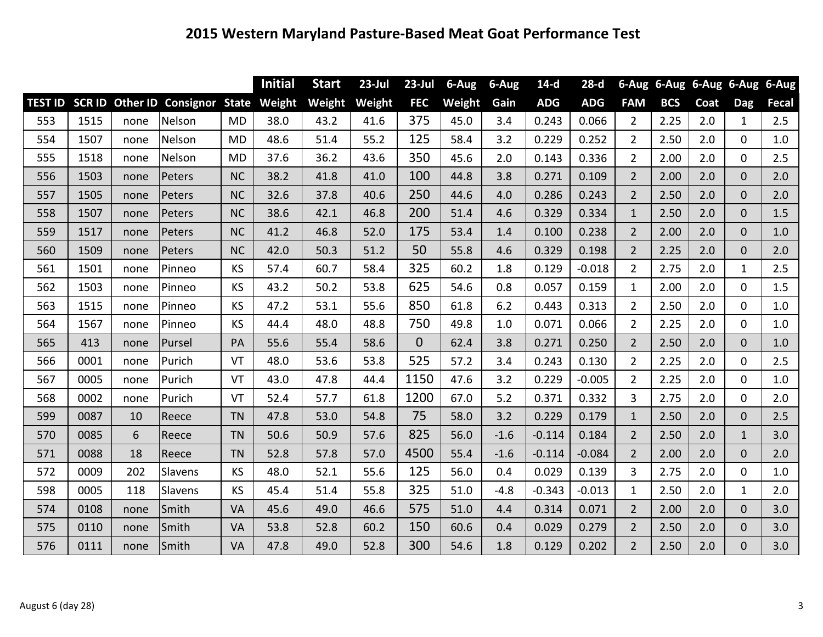|     |      |      |                                                |           | <b>Initial</b> | <b>Start</b> | $23$ -Jul | $23$ -Jul      | 6-Aug  | 6-Aug  | $14-d$     | $28-d$     |                | 6-Aug 6-Aug 6-Aug 6-Aug 6-Aug |      |                |              |
|-----|------|------|------------------------------------------------|-----------|----------------|--------------|-----------|----------------|--------|--------|------------|------------|----------------|-------------------------------|------|----------------|--------------|
|     |      |      | TEST ID SCR ID Other ID Consignor State Weight |           |                | Weight       | Weight    | <b>FEC</b>     | Weight | Gain   | <b>ADG</b> | <b>ADG</b> | <b>FAM</b>     | <b>BCS</b>                    | Coat | <b>Dag</b>     | <b>Fecal</b> |
| 553 | 1515 | none | Nelson                                         | <b>MD</b> | 38.0           | 43.2         | 41.6      | 375            | 45.0   | 3.4    | 0.243      | 0.066      | $\overline{2}$ | 2.25                          | 2.0  | $\mathbf{1}$   | 2.5          |
| 554 | 1507 | none | Nelson                                         | <b>MD</b> | 48.6           | 51.4         | 55.2      | 125            | 58.4   | 3.2    | 0.229      | 0.252      | $\overline{2}$ | 2.50                          | 2.0  | $\mathbf{0}$   | 1.0          |
| 555 | 1518 | none | Nelson                                         | <b>MD</b> | 37.6           | 36.2         | 43.6      | 350            | 45.6   | 2.0    | 0.143      | 0.336      | $\overline{2}$ | 2.00                          | 2.0  | $\mathbf{0}$   | 2.5          |
| 556 | 1503 | none | Peters                                         | <b>NC</b> | 38.2           | 41.8         | 41.0      | 100            | 44.8   | 3.8    | 0.271      | 0.109      | $2^{\circ}$    | 2.00                          | 2.0  | $\Omega$       | 2.0          |
| 557 | 1505 | none | Peters                                         | <b>NC</b> | 32.6           | 37.8         | 40.6      | 250            | 44.6   | 4.0    | 0.286      | 0.243      | $2^{\circ}$    | 2.50                          | 2.0  | $\overline{0}$ | 2.0          |
| 558 | 1507 | none | Peters                                         | <b>NC</b> | 38.6           | 42.1         | 46.8      | 200            | 51.4   | 4.6    | 0.329      | 0.334      | $\mathbf{1}$   | 2.50                          | 2.0  | $\mathbf{0}$   | 1.5          |
| 559 | 1517 | none | Peters                                         | <b>NC</b> | 41.2           | 46.8         | 52.0      | 175            | 53.4   | 1.4    | 0.100      | 0.238      | $2^{\circ}$    | 2.00                          | 2.0  | $\mathbf{0}$   | 1.0          |
| 560 | 1509 | none | Peters                                         | <b>NC</b> | 42.0           | 50.3         | 51.2      | 50             | 55.8   | 4.6    | 0.329      | 0.198      | $\overline{2}$ | 2.25                          | 2.0  | $\mathbf{0}$   | 2.0          |
| 561 | 1501 | none | Pinneo                                         | <b>KS</b> | 57.4           | 60.7         | 58.4      | 325            | 60.2   | 1.8    | 0.129      | $-0.018$   | $\overline{2}$ | 2.75                          | 2.0  | $\mathbf{1}$   | 2.5          |
| 562 | 1503 | none | Pinneo                                         | <b>KS</b> | 43.2           | 50.2         | 53.8      | 625            | 54.6   | 0.8    | 0.057      | 0.159      | $\mathbf{1}$   | 2.00                          | 2.0  | 0              | 1.5          |
| 563 | 1515 | none | Pinneo                                         | <b>KS</b> | 47.2           | 53.1         | 55.6      | 850            | 61.8   | 6.2    | 0.443      | 0.313      | $\overline{2}$ | 2.50                          | 2.0  | $\mathbf{0}$   | 1.0          |
| 564 | 1567 | none | Pinneo                                         | <b>KS</b> | 44.4           | 48.0         | 48.8      | 750            | 49.8   | 1.0    | 0.071      | 0.066      | $\overline{2}$ | 2.25                          | 2.0  | $\mathbf{0}$   | 1.0          |
| 565 | 413  | none | Pursel                                         | PA        | 55.6           | 55.4         | 58.6      | $\overline{0}$ | 62.4   | 3.8    | 0.271      | 0.250      | $2^{\circ}$    | 2.50                          | 2.0  | $\Omega$       | 1.0          |
| 566 | 0001 | none | Purich                                         | VT        | 48.0           | 53.6         | 53.8      | 525            | 57.2   | 3.4    | 0.243      | 0.130      | $\overline{2}$ | 2.25                          | 2.0  | $\mathbf{0}$   | 2.5          |
| 567 | 0005 | none | Purich                                         | VT        | 43.0           | 47.8         | 44.4      | 1150           | 47.6   | 3.2    | 0.229      | $-0.005$   | $2^{\circ}$    | 2.25                          | 2.0  | $\Omega$       | 1.0          |
| 568 | 0002 | none | Purich                                         | VT        | 52.4           | 57.7         | 61.8      | 1200           | 67.0   | 5.2    | 0.371      | 0.332      | 3              | 2.75                          | 2.0  | $\Omega$       | 2.0          |
| 599 | 0087 | 10   | Reece                                          | <b>TN</b> | 47.8           | 53.0         | 54.8      | 75             | 58.0   | 3.2    | 0.229      | 0.179      | $\mathbf{1}$   | 2.50                          | 2.0  | $\overline{0}$ | 2.5          |
| 570 | 0085 | 6    | Reece                                          | <b>TN</b> | 50.6           | 50.9         | 57.6      | 825            | 56.0   | $-1.6$ | $-0.114$   | 0.184      | $\overline{2}$ | 2.50                          | 2.0  | $\mathbf{1}$   | 3.0          |
| 571 | 0088 | 18   | Reece                                          | <b>TN</b> | 52.8           | 57.8         | 57.0      | 4500           | 55.4   | $-1.6$ | $-0.114$   | $-0.084$   | 2 <sup>1</sup> | 2.00                          | 2.0  | $\Omega$       | 2.0          |
| 572 | 0009 | 202  | Slavens                                        | <b>KS</b> | 48.0           | 52.1         | 55.6      | 125            | 56.0   | 0.4    | 0.029      | 0.139      | $\overline{3}$ | 2.75                          | 2.0  | $\mathbf{0}$   | 1.0          |
| 598 | 0005 | 118  | Slavens                                        | <b>KS</b> | 45.4           | 51.4         | 55.8      | 325            | 51.0   | $-4.8$ | $-0.343$   | $-0.013$   | $\mathbf{1}$   | 2.50                          | 2.0  | $\mathbf{1}$   | 2.0          |
| 574 | 0108 | none | Smith                                          | <b>VA</b> | 45.6           | 49.0         | 46.6      | 575            | 51.0   | 4.4    | 0.314      | 0.071      | $2^{\circ}$    | 2.00                          | 2.0  | $\Omega$       | 3.0          |
| 575 | 0110 | none | Smith                                          | VA        | 53.8           | 52.8         | 60.2      | 150            | 60.6   | 0.4    | 0.029      | 0.279      | $2^{\circ}$    | 2.50                          | 2.0  | $\mathbf{0}$   | 3.0          |
| 576 | 0111 | none | Smith                                          | VA        | 47.8           | 49.0         | 52.8      | 300            | 54.6   | 1.8    | 0.129      | 0.202      | 2 <sup>1</sup> | 2.50                          | 2.0  | $\Omega$       | 3.0          |